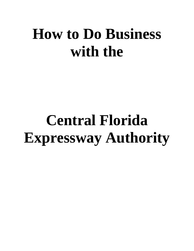## **How to Do Business with the**

# **Central Florida Expressway Authority**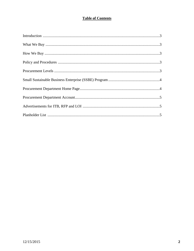## **Table of Contents**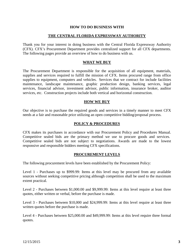#### **HOW TO DO BUSINESS WITH**

#### **THE CENTRAL FLORIDA EXPRESSWAY AUTHORITY**

Thank you for your interest in doing business with the Central Florida Expressway Authority (CFX). CFX's Procurement Department provides centralized support for all CFX departments. The following pages provide an overview of how to do business with us.

#### **WHAT WE BUY**

The Procurement Department is responsible for the acquisition of all equipment, materials, supplies and services required to fulfill the mission of CFX. Items procured range from office supplies to equipment, computers and vehicles. Services that we contract for include facilities maintenance, landscape maintenance, graphic production design, banking services, legal services, financial advisor, investment advisor, public information, insurance broker, auditor services, etc. Construction projects include both vertical and horizontal construction.

#### **HOW WE BUY**

Our objective is to purchase the required goods and services in a timely manner to meet CFX needs at a fair and reasonable price utilizing an open competitive bidding/proposal process.

#### **POLICY & PROCEDURES**

CFX makes its purchases in accordance with our Procurement Policy and Procedures Manual. Competitive sealed bids are the primary method we use to procure goods and services. Competitive sealed bids are not subject to negotiations. Awards are made to the lowest responsive and responsible bidders meeting CFX specifications.

#### **PROCUREMENT LEVELS**

The following procurement levels have been established by the Procurement Policy:

Level 1 - Purchases up to \$999.99: Items at this level may be procured from any available sources without seeking competitive pricing although competition shall be used to the maximum extent practical.

Level 2 - Purchases between \$1,000.00 and \$9,999.99: Items at this level require at least three quotes, either written or verbal, before the purchase is made.

Level 3 - Purchases between \$10,000 and \$24,999.99: Items at this level require at least three written quotes before the purchase is made.

Level 4 - Purchases between \$25,000.00 and \$49,999.99: Items at this level require three formal quotes.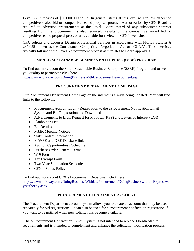Level 5 - Purchases of \$50,000.00 and up: In general, items at this level will follow either the competitive sealed bid or competitive sealed proposal process. Authorization by CFX Board is required to advertise procurements at this level. Board award of any subsequent contract resulting from the procurement is also required. Results of the competitive sealed bid or competitive sealed proposal process are available for review on CFX's web site.

CFX solicits and acquires Design Professional Services in accordance with Florida Statutes § 287.055 known as the Consultants' Competitive Negotiation Act or "CCNA". These services typically fall under the Level 5 procurement process as it relates to Board approvals.

### **SMALL SUSTAINABLE BUSINESS ENTERPRISE (SSBE) PROGRAM**

To find out more about the Small Sustainable Business Enterprise (SSBE) Program and to see if you qualify to participate click here <https://www.cfxway.com/DoingBusinessWithUs/BusinessDevelopment.aspx>

## **PROCUREMENT DEPARTMENT HOME PAGE**

Our Procurement Department Home Page on the internet is always being updated. You will find links to the following:

- Procurement Account Login (Registration to the eProcurement Notification Email System and Bid Registration and Download
- Advertisements to Bids, Request for Proposal (RFP) and Letters of Interest (LOI)
- Planholder List
- Bid Results
- Public Meeting Notices
- Staff Contact Information
- M/WBE and DBE Database links
- Auction Opportunities / Schedule
- Purchase Order General Terms
- W-9 Form
- Tax Exempt Form
- Two Year Solicitation Schedule
- CFX's Ethics Policy

To find out more about CFX's Procurement Department click here [https://www.cfxway.com/DoingBusinessWithUs/Procurement/DoingBusinesswiththeExpresswa](https://www.cfxway.com/DoingBusinessWithUs/Procurement/DoingBusinesswiththeExpresswayAuthority.aspx) [yAuthority.aspx](https://www.cfxway.com/DoingBusinessWithUs/Procurement/DoingBusinesswiththeExpresswayAuthority.aspx)

## **PROCUREMENT DEPARTMENT ACCOUNT**

The Procurement Department account system allows you to create an account that may be used repeatedly for bid registrations. It can also be used for eProcurement notification registration if you want to be notified when new solicitations become available.

The e-Procurement Notification E-mail System is not intended to replace Florida Statute requirements and is intended to complement and enhance the solicitation notification process.